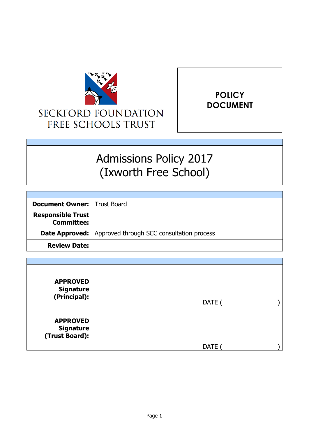



# Admissions Policy 2017 (Ixworth Free School)

| <b>Document Owner:   Trust Board</b>          |                                                                   |
|-----------------------------------------------|-------------------------------------------------------------------|
| <b>Responsible Trust</b><br><b>Committee:</b> |                                                                   |
|                                               | <b>Date Approved:</b>   Approved through SCC consultation process |
| <b>Review Date:</b>                           |                                                                   |

| <b>APPROVED</b><br><b>Signature</b><br>(Principal):   | <b>DATE</b> |  |
|-------------------------------------------------------|-------------|--|
| <b>APPROVED</b><br><b>Signature</b><br>(Trust Board): | <b>DATE</b> |  |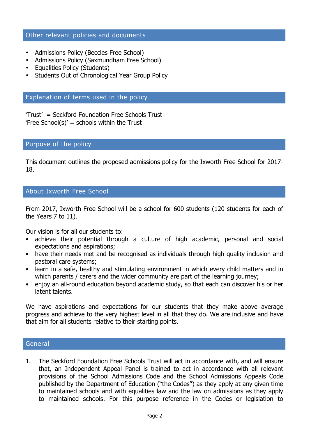# Other relevant policies and documents

- Admissions Policy (Beccles Free School)
- Admissions Policy (Saxmundham Free School)
- Equalities Policy (Students)
- Students Out of Chronological Year Group Policy

# Explanation of terms used in the policy

'Trust' = Seckford Foundation Free Schools Trust 'Free School(s)' = schools within the Trust

# Purpose of the policy

This document outlines the proposed admissions policy for the Ixworth Free School for 2017- 18.

# About Ixworth Free School

From 2017, Ixworth Free School will be a school for 600 students (120 students for each of the Years 7 to 11).

Our vision is for all our students to:

- achieve their potential through a culture of high academic, personal and social expectations and aspirations;
- have their needs met and be recognised as individuals through high quality inclusion and pastoral care systems;
- learn in a safe, healthy and stimulating environment in which every child matters and in which parents / carers and the wider community are part of the learning journey;
- enjoy an all-round education beyond academic study, so that each can discover his or her latent talents.

We have aspirations and expectations for our students that they make above average progress and achieve to the very highest level in all that they do. We are inclusive and have that aim for all students relative to their starting points.

# General

1. The Seckford Foundation Free Schools Trust will act in accordance with, and will ensure that, an Independent Appeal Panel is trained to act in accordance with all relevant provisions of the School Admissions Code and the School Admissions Appeals Code published by the Department of Education ("the Codes") as they apply at any given time to maintained schools and with equalities law and the law on admissions as they apply to maintained schools. For this purpose reference in the Codes or legislation to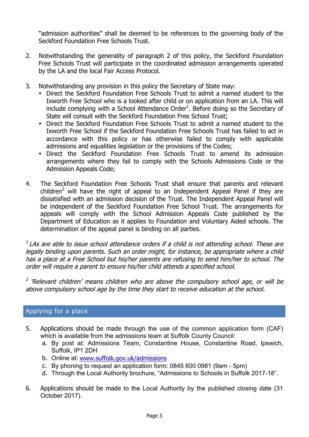"admission authorities" shall be deemed to be references to the governing body of the Seckford Foundation Free Schools Trust.

- 2. Notwithstanding the generality of paragraph 2 of this policy, the Seckford Foundation Free Schools Trust will participate in the coordinated admission arrangements operated by the LA and the local Fair Access Protocol.
- 3. Notwithstanding any provision in this policy the Secretary of State may:
	- Direct the Seckford Foundation Free Schools Trust to admit a named student to the Ixworth Free School who is a looked after child or on application from an LA. This will include complying with a School Attendance Order<sup>1</sup>. Before doing so the Secretary of State will consult with the Seckford Foundation Free School Trust;
	- Direct the Seckford Foundation Free Schools Trust to admit a named student to the Ixworth Free School if the Seckford Foundation Free Schools Trust has failed to act in accordance with this policy or has otherwise failed to comply with applicable admissions and equalities legislation or the provisions of the Codes;
	- Direct the Seckford Foundation Free Schools Trust to amend its admission arrangements where they fail to comply with the Schools Admissions Code or the Admission Appeals Code;
- 4. The Seckford Foundation Free Schools Trust shall ensure that parents and relevant children<sup>2</sup> will have the right of appeal to an Independent Appeal Panel if they are dissatisfied with an admission decision of the Trust. The Independent Appeal Panel will be independent of the Seckford Foundation Free School Trust. The arrangements for appeals will comply with the School Admission Appeals Code published by the Department of Education as it applies to Foundation and Voluntary Aided schools. The determination of the appeal panel is binding on all parties.

 $1$  LAs are able to issue school attendance orders if a child is not attending school. These are legally binding upon parents. Such an order might, for instance, be appropriate where a child has a place at a Free School but his/her parents are refusing to send him/her to school. The order will require a parent to ensure his/her child attends a specified school.

<sup>2</sup> 'Relevant children' means children who are above the compulsory school age, or will be above compulsory school age by the time they start to receive education at the school.

# Applying for a place

- 5. Applications should be made through the use of the common application form (CAF) which is available from the admissions team at Suffolk County Council:
	- a. By post at: Admissions Team, Constantine House, Constantine Road, Ipswich, Suffolk, IP1 2DH
	- b. Online at: www.suffolk.gov.uk/admissions
	- c. By phoning to request an application form: 0845 600 0981 (9am 5pm)
	- d. Through the Local Authority brochure, "Admissions to Schools in Suffolk 2017-18".
- 6. Applications should be made to the Local Authority by the published closing date (31 October 2017).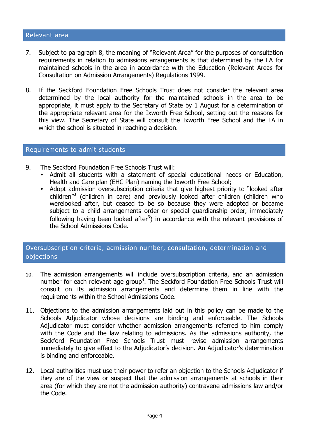#### Relevant area

- 7. Subject to paragraph 8, the meaning of "Relevant Area" for the purposes of consultation requirements in relation to admissions arrangements is that determined by the LA for maintained schools in the area in accordance with the Education (Relevant Areas for Consultation on Admission Arrangements) Regulations 1999.
- 8. If the Seckford Foundation Free Schools Trust does not consider the relevant area determined by the local authority for the maintained schools in the area to be appropriate, it must apply to the Secretary of State by 1 August for a determination of the appropriate relevant area for the Ixworth Free School, setting out the reasons for this view. The Secretary of State will consult the Ixworth Free School and the LA in which the school is situated in reaching a decision.

#### Requirements to admit students

- 9. The Seckford Foundation Free Schools Trust will:
	- Admit all students with a statement of special educational needs or Education, Health and Care plan (EHC Plan) naming the Ixworth Free School;
	- Adopt admission oversubscription criteria that give highest priority to "looked after children"<sup>3</sup> (children in care) and previously looked after children (children who werelooked after, but ceased to be so because they were adopted or became subject to a child arrangements order or special guardianship order, immediately following having been looked after<sup>3</sup>) in accordance with the relevant provisions of the School Admissions Code.

# Oversubscription criteria, admission number, consultation, determination and objections

- 10. The admission arrangements will include oversubscription criteria, and an admission number for each relevant age group<sup>4</sup>. The Seckford Foundation Free Schools Trust will consult on its admission arrangements and determine them in line with the requirements within the School Admissions Code.
- 11. Objections to the admission arrangements laid out in this policy can be made to the Schools Adjudicator whose decisions are binding and enforceable. The Schools Adjudicator must consider whether admission arrangements referred to him comply with the Code and the law relating to admissions. As the admissions authority, the Seckford Foundation Free Schools Trust must revise admission arrangements immediately to give effect to the Adjudicator's decision. An Adjudicator's determination is binding and enforceable.
- 12. Local authorities must use their power to refer an objection to the Schools Adjudicator if they are of the view or suspect that the admission arrangements at schools in their area (for which they are not the admission authority) contravene admissions law and/or the Code.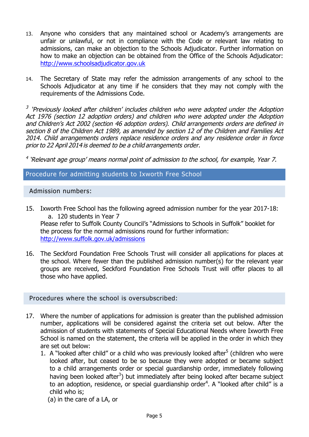- 13. Anyone who considers that any maintained school or Academy's arrangements are unfair or unlawful, or not in compliance with the Code or relevant law relating to admissions, can make an objection to the Schools Adjudicator. Further information on how to make an objection can be obtained from the Office of the Schools Adjudicator: http://www.schoolsadjudicator.gov.uk
- 14. The Secretary of State may refer the admission arrangements of any school to the Schools Adjudicator at any time if he considers that they may not comply with the requirements of the Admissions Code.

 $3$  'Previously looked after children' includes children who were adopted under the Adoption Act 1976 (section 12 adoption orders) and children who were adopted under the Adoption and Children's Act 2002 (section 46 adoption orders). Child arrangements orders are defined in section 8 of the Children Act 1989, as amended by section 12 of the Children and Families Act 2014. Child arrangements orders replace residence orders and any residence order in force prior to 22 April 2014 is deemed to be <sup>a</sup> child arrangements order.

 $4$  'Relevant age group' means normal point of admission to the school, for example, Year 7.

# Procedure for admitting students to Ixworth Free School

# Admission numbers:

- 15. Ixworth Free School has the following agreed admission number for the year 2017-18: a. 120 students in Year 7 Please refer to Suffolk County Council's "Admissions to Schools in Suffolk" booklet for the process for the normal admissions round for further information: http://www.suffolk.gov.uk/admissions
- 16. The Seckford Foundation Free Schools Trust will consider all applications for places at the school. Where fewer than the published admission number(s) for the relevant year groups are received, Seckford Foundation Free Schools Trust will offer places to all those who have applied.

### Procedures where the school is oversubscribed:

- 17. Where the number of applications for admission is greater than the published admission number, applications will be considered against the criteria set out below. After the admission of students with statements of Special Educational Needs where Ixworth Free School is named on the statement, the criteria will be applied in the order in which they are set out below:
	- 1. A "looked after child" or a child who was previously looked after<sup>5</sup> (children who were looked after, but ceased to be so because they were adopted or became subject to a child arrangements order or special guardianship order, immediately following having been looked after<sup>3</sup>) but immediately after being looked after became subject to an adoption, residence, or special guardianship order<sup>4</sup>. A "looked after child" is a child who is;

(a) in the care of a LA, or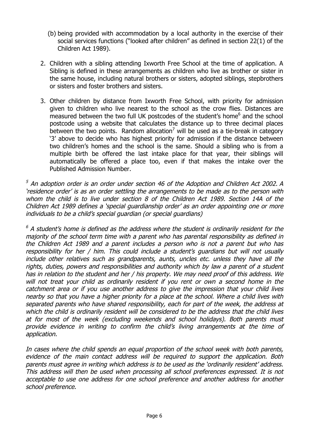- (b) being provided with accommodation by a local authority in the exercise of their social services functions ("looked after children" as defined in section 22(1) of the Children Act 1989).
- 2. Children with a sibling attending Ixworth Free School at the time of application. A Sibling is defined in these arrangements as children who live as brother or sister in the same house, including natural brothers or sisters, adopted siblings, stepbrothers or sisters and foster brothers and sisters.
- 3. Other children by distance from Ixworth Free School, with priority for admission given to children who live nearest to the school as the crow flies. Distances are measured between the two full UK postcodes of the student's home<sup>6</sup> and the school postcode using a website that calculates the distance up to three decimal places between the two points. Random allocation<sup>7</sup> will be used as a tie-break in category '3' above to decide who has highest priority for admission if the distance between two children's homes and the school is the same. Should a sibling who is from a multiple birth be offered the last intake place for that year, their siblings will automatically be offered a place too, even if that makes the intake over the Published Admission Number.

 $<sup>5</sup>$  An adoption order is an order under section 46 of the Adoption and Children Act 2002. A</sup> 'residence order' is as an order settling the arrangements to be made as to the person with whom the child is to live under section 8 of the Children Act 1989. Section 14A of the Children Act 1989 defines a 'special guardianship order' as an order appointing one or more individuals to be a child's special guardian (or special guardians)

 $6$  A student's home is defined as the address where the student is ordinarily resident for the majority of the school term time with a parent who has parental responsibility as defined in the Children Act 1989 and a parent includes a person who is not a parent but who has responsibility for her / him. This could include a student's guardians but will not usually include other relatives such as grandparents, aunts, uncles etc. unless they have all the rights, duties, powers and responsibilities and authority which by law a parent of a student has in relation to the student and her / his property. We may need proof of this address. We will not treat your child as ordinarily resident if you rent or own a second home in the catchment area or if you use another address to give the impression that your child lives nearby so that you have a higher priority for a place at the school. Where a child lives with separated parents who have shared responsibility, each for part of the week, the address at which the child is ordinarily resident will be considered to be the address that the child lives at for most of the week (excluding weekends and school holidays). Both parents must provide evidence in writing to confirm the child's living arrangements at the time of application.

In cases where the child spends an equal proportion of the school week with both parents, evidence of the main contact address will be required to support the application. Both parents must agree in writing which address is to be used as the 'ordinarily resident' address. This address will then be used when processing all school preferences expressed. It is not acceptable to use one address for one school preference and another address for another school preference.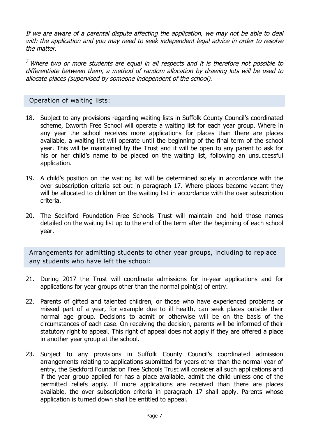If we are aware of a parental dispute affecting the application, we may not be able to deal with the application and you may need to seek independent legal advice in order to resolve the matter.

 $<sup>7</sup>$  Where two or more students are equal in all respects and it is therefore not possible to</sup> differentiate between them, a method of random allocation by drawing lots will be used to allocate places (supervised by someone independent of the school).

# Operation of waiting lists:

- 18. Subject to any provisions regarding waiting lists in Suffolk County Council's coordinated scheme, Ixworth Free School will operate a waiting list for each year group. Where in any year the school receives more applications for places than there are places available, a waiting list will operate until the beginning of the final term of the school year. This will be maintained by the Trust and it will be open to any parent to ask for his or her child's name to be placed on the waiting list, following an unsuccessful application.
- 19. A child's position on the waiting list will be determined solely in accordance with the over subscription criteria set out in paragraph 17. Where places become vacant they will be allocated to children on the waiting list in accordance with the over subscription criteria.
- 20. The Seckford Foundation Free Schools Trust will maintain and hold those names detailed on the waiting list up to the end of the term after the beginning of each school year.

Arrangements for admitting students to other year groups, including to replace any students who have left the school:

- 21. During 2017 the Trust will coordinate admissions for in-year applications and for applications for year groups other than the normal point(s) of entry.
- 22. Parents of gifted and talented children, or those who have experienced problems or missed part of a year, for example due to ill health, can seek places outside their normal age group. Decisions to admit or otherwise will be on the basis of the circumstances of each case. On receiving the decision, parents will be informed of their statutory right to appeal. This right of appeal does not apply if they are offered a place in another year group at the school.
- 23. Subject to any provisions in Suffolk County Council's coordinated admission arrangements relating to applications submitted for years other than the normal year of entry, the Seckford Foundation Free Schools Trust will consider all such applications and if the year group applied for has a place available, admit the child unless one of the permitted reliefs apply. If more applications are received than there are places available, the over subscription criteria in paragraph 17 shall apply. Parents whose application is turned down shall be entitled to appeal.